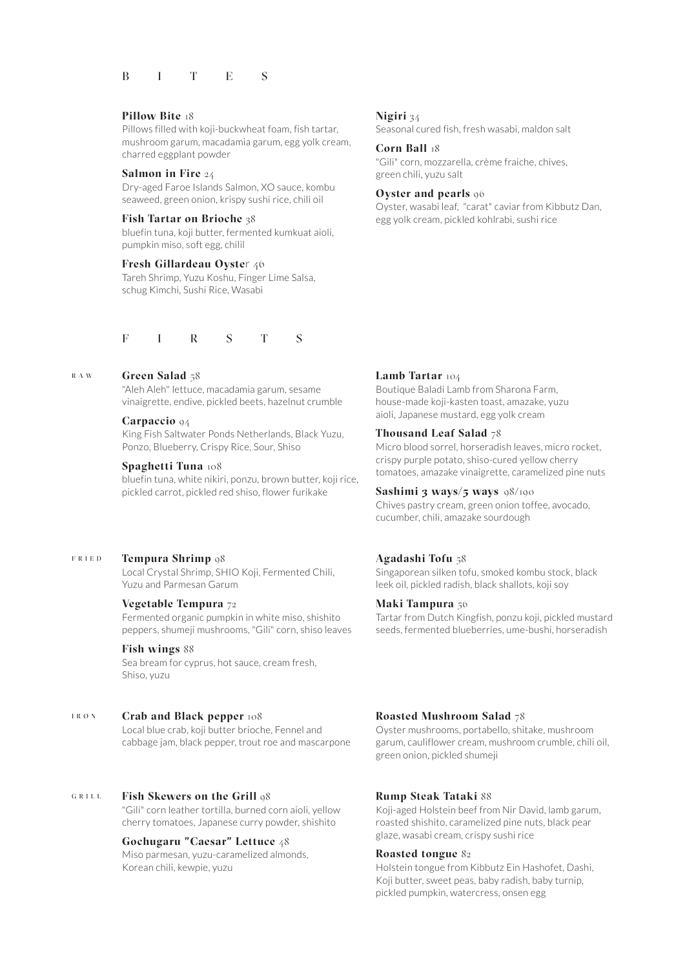# BITES

#### Pillow Bite 18

Pillows filled with koji-buckwheat foam, fish tartar, mushroom garum, macadamia garum, egg yolk cream, charred eggplant powder

## Salmon in Fire 24

Dry-aged Faroe Islands Salmon, XO sauce, kombu seaweed, green onion, krispy sushi rice, chili oil

#### Fish Tartar on Brioche 38

bluefin tuna, koji butter, fermented kumkuat aioli, pumpkin miso, soft egg, chilil

## Fresh Gillardeau Oyster 46

Tareh Shrimp, Yuzu Koshu, Finger Lime Salsa, schug Kimchi, Sushi Rice, Wasabi

## F I R S T S

#### w a r Green Salad 58

"Aleh Aleh" lettuce, macadamia garum, sesame vinaigrette, endive, pickled beets, hazelnut crumble

## Carpaccio 94

King Fish Saltwater Ponds Netherlands, Black Yuzu, Ponzo, Blueberry, Crispy Rice, Sour, Shiso

## Spaghetti Tuna 108

bluefin tuna, white nikiri, ponzu, brown butter, koji rice, pickled carrot, pickled red shiso, flower furikake

#### d e i r f Tempura Shrimp 98

Local Crystal Shrimp, SHIO Koji, Fermented Chili, Yuzu and Parmesan Garum

# Vegetable Tempura 72

Fermented organic pumpkin in white miso, shishito peppers, shumeji mushrooms. "Gili" corn, shiso leaves

# Fish wings 88

Sea bream for cyprus, hot sauce, cream fresh, Shiso, yuzu

#### n o r i Crab and Black pepper  $108$

Local blue crab, koji butter brioche, Fennel and cabbage jam, black pepper, trout roe and mascarpone

#### $G$  R I L L Fish Skewers on the Grill  $98$

"Gili" corn leather tortilla, burned corn aioli, yellow cherry tomatoes, Japanese curry powder, shishito

## Gochugaru "Caesar" Lettuce 48

Miso parmesan, yuzu-caramelized almonds, Korean chili, kewpie, yuzu

#### Nigiri 34

Seasonal cured fish, fresh wasabi, maldon salt

### Corn Ball 18

"Gili" corn, mozzarella, crème fraiche, chives, green chili, yuzu salt

## Oyster and pearls 96

Oyster, wasabi leaf, "carat" caviar from Kibbutz Dan, egg yolk cream, pickled kohlrabi, sushi rice

## Lamb Tartar 104

Boutique Baladi Lamb from Sharona Farm, house-made koji-kasten toast, amazake, yuzu aioli, Japanese mustard, egg yolk cream

## Thousand Leaf Salad  $78$

Micro blood sorrel, horseradish leaves, micro rocket, crispy purple potato, shiso-cured yellow cherry tomatoes, amazake vinaigrette, caramelized pine nuts

#### Sashimi 3 ways/5 ways 98/190

Chives pastry cream, green onion toffee, avocado, cucumber, chili, amazake sourdough

## Agadashi Tofu 58

Singaporean silken tofu, smoked kombu stock, black leek oil, pickled radish, black shallots, koji soy

## Maki Tampura 56

Tartar from Dutch Kingfish, ponzu koji, pickled mustard seeds, fermented blueberries, ume-bushi, horseradish

#### Roasted Mushroom Salad 78

Oyster mushrooms, portabello, shitake, mushroom garum, cauliflower cream, mushroom crumble, chili oil, green onion, pickled shumeji

#### Rump Steak Tataki 88

Koji-aged Holstein beef from Nir David, lamb garum, roasted shishito, caramelized pine nuts, black pear glaze, wasabi cream, crispy sushi rice

## Roasted tongue 82

Holstein tongue from Kibbutz Ein Hashofet, Dashi, Koji butter, sweet peas, baby radish, baby turnip, pickled pumpkin, watercress, onsen egg